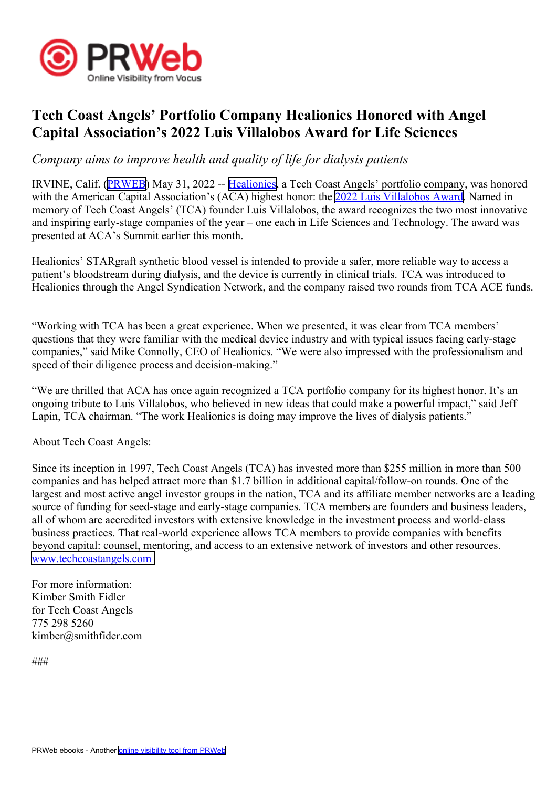

## **Tech Coast Angels' Portfolio Company Healionics Honored with Angel Capital Association's 2022 Luis Villalobos Award for Life Sciences**

*Company aims to improve health and quality of life for dialysis patients*

IRVINE, Calif. ([PRWEB](http://www.prweb.com)) May 31, 2022 -- [Healionics](https://healionics.com/), <sup>a</sup> Tech Coast Angels' portfolio company, was honored with the American Capital Association's (ACA) highest honor: the 2022 Luis [Villalobos](https://www.angelcapitalassociation.org/data/File/pdf/Luis_Villalobos_Award_2022.pdf?rev=34D2) Award. Named in memory of Tech Coast Angels' (TCA) founder Luis Villalobos, the award recognizes the two most innovative and inspiring early-stage companies of the year – one each in Life Sciences and Technology. The award was presented at ACA's Summit earlier this month.

Healionics' STARgraft synthetic blood vessel is intended to provide <sup>a</sup> safer, more reliable way to access <sup>a</sup> patient's bloodstream during dialysis, and the device is currently in clinical trials. TCA was introduced to Healionics through the Angel Syndication Network, and the company raised two rounds from TCA ACE funds.

"Working with TCA has been <sup>a</sup> grea<sup>t</sup> experience. When we presented, it was clear from TCA members' questions that they were familiar with the medical device industry and with typical issues facing early-stage companies," said Mike Connolly, CEO of Healionics. "We were also impressed with the professionalism and speed of their diligence process and decision-making."

"We are thrilled that ACA has once again recognized <sup>a</sup> TCA portfolio company for its highest honor. It's an ongoing tribute to Luis Villalobos, who believed in new ideas that could make <sup>a</sup> powerful impact," said Jeff Lapin, TCA chairman. "The work Healionics is doing may improve the lives of dialysis patients."

About Tech Coast Angels:

Since its inception in 1997, Tech Coast Angels (TCA) has invested more than \$255 million in more than 500 companies and has helped attract more than \$1.7 billion in additional capital/follow-on rounds. One of the largest and most active angel investor groups in the nation, TCA and its affiliate member networks are <sup>a</sup> leading source of funding for seed-stage and early-stage companies. TCA members are founders and business leaders, all of whom are accredited investors with extensive knowledge in the investment process and world-class business practices. That real-world experience allows TCA members to provide companies with benefits beyond capital: counsel, mentoring, and access to an extensive network of investors and other resources. [www.techcoastangels.com](http://www.techcoastangels.com
)

For more information: Kimber Smith Fidler for Tech Coast Angels 775 298 5260 kimber@smithfider.com

###